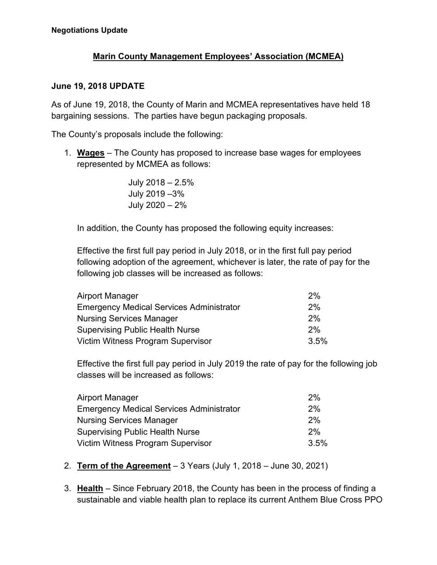## **Marin County Management Employees' Association (MCMEA)**

## **June 19, 2018 UPDATE**

As of June 19, 2018, the County of Marin and MCMEA representatives have held 18 bargaining sessions. The parties have begun packaging proposals.

The County's proposals include the following:

1. **Wages** – The County has proposed to increase base wages for employees represented by MCMEA as follows:

> July 2018 – 2.5% July 2019 –3% July 2020 – 2%

In addition, the County has proposed the following equity increases:

Effective the first full pay period in July 2018, or in the first full pay period following adoption of the agreement, whichever is later, the rate of pay for the following job classes will be increased as follows:

| Airport Manager                                 | 2%   |
|-------------------------------------------------|------|
| <b>Emergency Medical Services Administrator</b> | 2%   |
| <b>Nursing Services Manager</b>                 | 2%   |
| <b>Supervising Public Health Nurse</b>          | 2%   |
| Victim Witness Program Supervisor               | 3.5% |

Effective the first full pay period in July 2019 the rate of pay for the following job classes will be increased as follows:

| Airport Manager                                 | 2%   |
|-------------------------------------------------|------|
| <b>Emergency Medical Services Administrator</b> | 2%   |
| <b>Nursing Services Manager</b>                 | 2%   |
| <b>Supervising Public Health Nurse</b>          | 2%   |
| Victim Witness Program Supervisor               | 3.5% |

- 2. **Term of the Agreement** 3 Years (July 1, 2018 June 30, 2021)
- 3. **Health** Since February 2018, the County has been in the process of finding a sustainable and viable health plan to replace its current Anthem Blue Cross PPO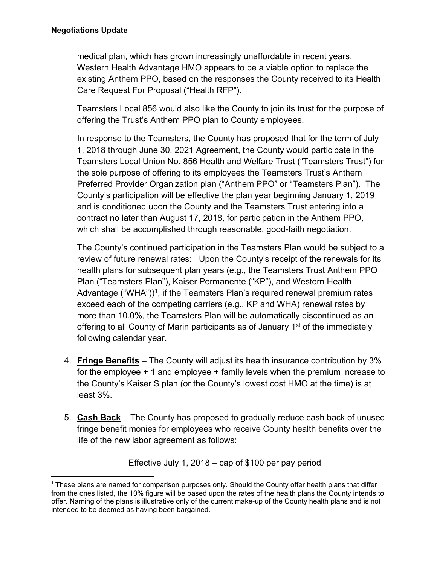medical plan, which has grown increasingly unaffordable in recent years. Western Health Advantage HMO appears to be a viable option to replace the existing Anthem PPO, based on the responses the County received to its Health Care Request For Proposal ("Health RFP").

Teamsters Local 856 would also like the County to join its trust for the purpose of offering the Trust's Anthem PPO plan to County employees.

In response to the Teamsters, the County has proposed that for the term of July 1, 2018 through June 30, 2021 Agreement, the County would participate in the Teamsters Local Union No. 856 Health and Welfare Trust ("Teamsters Trust") for the sole purpose of offering to its employees the Teamsters Trust's Anthem Preferred Provider Organization plan ("Anthem PPO" or "Teamsters Plan"). The County's participation will be effective the plan year beginning January 1, 2019 and is conditioned upon the County and the Teamsters Trust entering into a contract no later than August 17, 2018, for participation in the Anthem PPO, which shall be accomplished through reasonable, good-faith negotiation.

The County's continued participation in the Teamsters Plan would be subject to a review of future renewal rates: Upon the County's receipt of the renewals for its health plans for subsequent plan years (e.g., the Teamsters Trust Anthem PPO Plan ("Teamsters Plan"), Kaiser Permanente ("KP"), and Western Health Advantage ("WHA"))<sup>1</sup>, if the Teamsters Plan's required renewal premium rates exceed each of the competing carriers (e.g., KP and WHA) renewal rates by more than 10.0%, the Teamsters Plan will be automatically discontinued as an offering to all County of Marin participants as of January 1<sup>st</sup> of the immediately following calendar year.

- 4. **Fringe Benefits** The County will adjust its health insurance contribution by 3% for the employee + 1 and employee + family levels when the premium increase to the County's Kaiser S plan (or the County's lowest cost HMO at the time) is at least 3%.
- 5. **Cash Back** The County has proposed to gradually reduce cash back of unused fringe benefit monies for employees who receive County health benefits over the life of the new labor agreement as follows:

Effective July 1, 2018 – cap of \$100 per pay period

  $1$  These plans are named for comparison purposes only. Should the County offer health plans that differ from the ones listed, the 10% figure will be based upon the rates of the health plans the County intends to offer. Naming of the plans is illustrative only of the current make-up of the County health plans and is not intended to be deemed as having been bargained.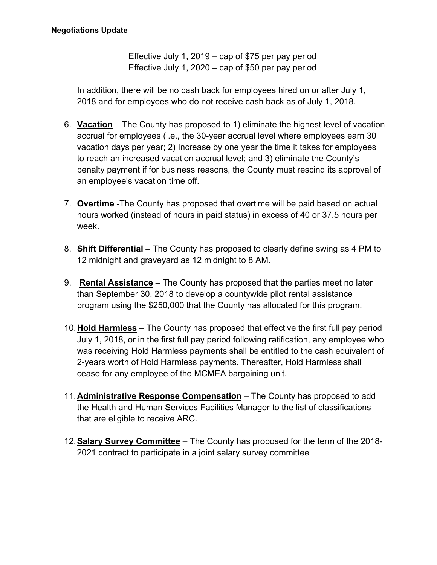Effective July 1, 2019 – cap of \$75 per pay period Effective July 1, 2020 – cap of \$50 per pay period

In addition, there will be no cash back for employees hired on or after July 1, 2018 and for employees who do not receive cash back as of July 1, 2018.

- 6. **Vacation** The County has proposed to 1) eliminate the highest level of vacation accrual for employees (i.e., the 30-year accrual level where employees earn 30 vacation days per year; 2) Increase by one year the time it takes for employees to reach an increased vacation accrual level; and 3) eliminate the County's penalty payment if for business reasons, the County must rescind its approval of an employee's vacation time off.
- 7. **Overtime** -The County has proposed that overtime will be paid based on actual hours worked (instead of hours in paid status) in excess of 40 or 37.5 hours per week.
- 8. **Shift Differential** The County has proposed to clearly define swing as 4 PM to 12 midnight and graveyard as 12 midnight to 8 AM.
- 9. **Rental Assistance** The County has proposed that the parties meet no later than September 30, 2018 to develop a countywide pilot rental assistance program using the \$250,000 that the County has allocated for this program.
- 10. **Hold Harmless** The County has proposed that effective the first full pay period July 1, 2018, or in the first full pay period following ratification, any employee who was receiving Hold Harmless payments shall be entitled to the cash equivalent of 2-years worth of Hold Harmless payments. Thereafter, Hold Harmless shall cease for any employee of the MCMEA bargaining unit.
- 11. **Administrative Response Compensation** The County has proposed to add the Health and Human Services Facilities Manager to the list of classifications that are eligible to receive ARC.
- 12. **Salary Survey Committee** The County has proposed for the term of the 2018- 2021 contract to participate in a joint salary survey committee